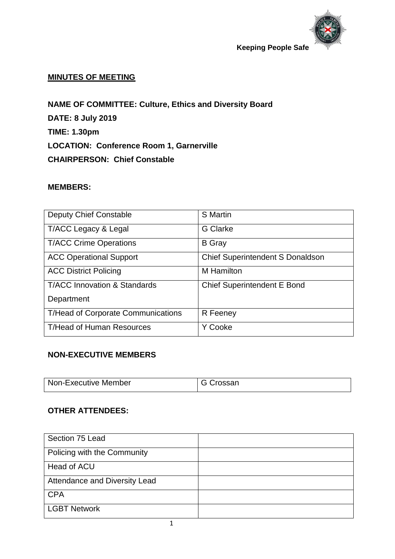

# **MINUTES OF MEETING**

**NAME OF COMMITTEE: Culture, Ethics and Diversity Board DATE: 8 July 2019 TIME: 1.30pm LOCATION: Conference Room 1, Garnerville CHAIRPERSON: Chief Constable**

## **MEMBERS:**

| <b>Deputy Chief Constable</b>             | <b>S</b> Martin                         |
|-------------------------------------------|-----------------------------------------|
| T/ACC Legacy & Legal                      | <b>G</b> Clarke                         |
| <b>T/ACC Crime Operations</b>             | <b>B</b> Gray                           |
| <b>ACC Operational Support</b>            | <b>Chief Superintendent S Donaldson</b> |
| <b>ACC District Policing</b>              | M Hamilton                              |
| <b>T/ACC Innovation &amp; Standards</b>   | <b>Chief Superintendent E Bond</b>      |
| Department                                |                                         |
| <b>T/Head of Corporate Communications</b> | R Feeney                                |
| <b>T/Head of Human Resources</b>          | Y Cooke                                 |

# **NON-EXECUTIVE MEMBERS**

| Non-Executive Member | ∶rossan |
|----------------------|---------|
|                      |         |

# **OTHER ATTENDEES:**

| Section 75 Lead               |  |
|-------------------------------|--|
| Policing with the Community   |  |
| Head of ACU                   |  |
| Attendance and Diversity Lead |  |
| <b>CPA</b>                    |  |
| LGBT Network                  |  |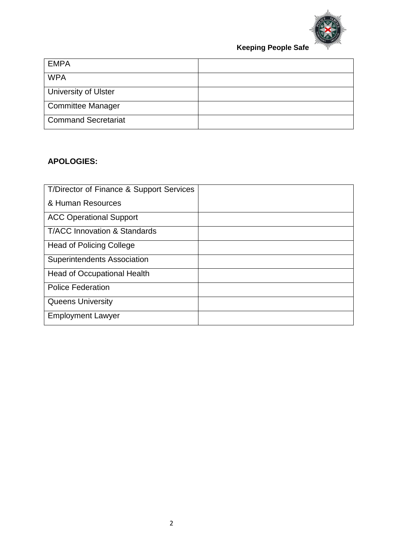

| <b>EMPA</b>                 |  |
|-----------------------------|--|
| <b>WPA</b>                  |  |
| <b>University of Ulster</b> |  |
| <b>Committee Manager</b>    |  |
| <b>Command Secretariat</b>  |  |

# **APOLOGIES:**

| T/Director of Finance & Support Services |  |
|------------------------------------------|--|
| & Human Resources                        |  |
| <b>ACC Operational Support</b>           |  |
| <b>T/ACC Innovation &amp; Standards</b>  |  |
| <b>Head of Policing College</b>          |  |
| <b>Superintendents Association</b>       |  |
| <b>Head of Occupational Health</b>       |  |
| <b>Police Federation</b>                 |  |
| <b>Queens University</b>                 |  |
| <b>Employment Lawyer</b>                 |  |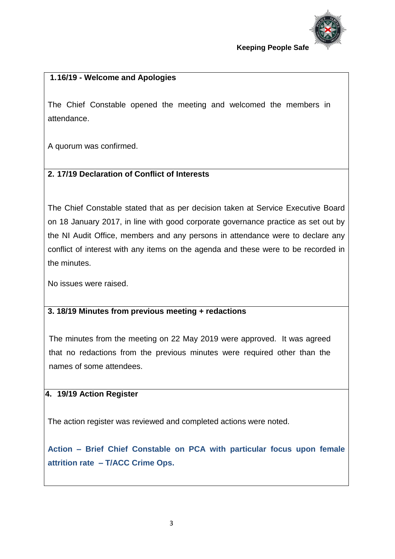

# **1.16/19 - Welcome and Apologies**

The Chief Constable opened the meeting and welcomed the members in attendance.

A quorum was confirmed.

# **2. 17/19 Declaration of Conflict of Interests**

The Chief Constable stated that as per decision taken at Service Executive Board on 18 January 2017, in line with good corporate governance practice as set out by the NI Audit Office, members and any persons in attendance were to declare any conflict of interest with any items on the agenda and these were to be recorded in the minutes.

No issues were raised.

## **3. 3. 18/19 Minutes from previous meeting + redactions**

The minutes from the meeting on 22 May 2019 were approved. It was agreed that no redactions from the previous minutes were required other than the names of some attendees.

## **4. 19/19 Action Register**

The action register was reviewed and completed actions were noted.

**Action – Brief Chief Constable on PCA with particular focus upon female attrition rate – T/ACC Crime Ops.**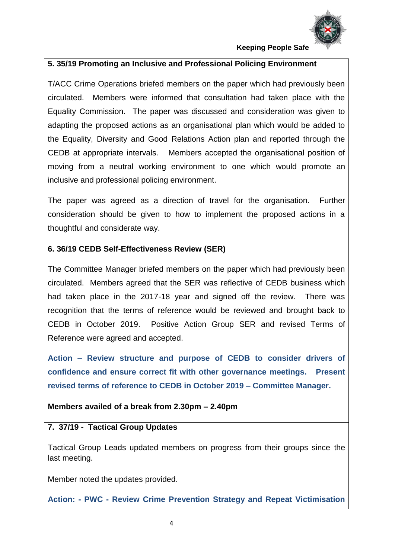

## **5. 35/19 Promoting an Inclusive and Professional Policing Environment**

T/ACC Crime Operations briefed members on the paper which had previously been circulated. Members were informed that consultation had taken place with the Equality Commission. The paper was discussed and consideration was given to adapting the proposed actions as an organisational plan which would be added to the Equality, Diversity and Good Relations Action plan and reported through the CEDB at appropriate intervals. Members accepted the organisational position of moving from a neutral working environment to one which would promote an inclusive and professional policing environment.

The paper was agreed as a direction of travel for the organisation. Further consideration should be given to how to implement the proposed actions in a thoughtful and considerate way.

## **6. 36/19 CEDB Self-Effectiveness Review (SER)**

The Committee Manager briefed members on the paper which had previously been circulated. Members agreed that the SER was reflective of CEDB business which had taken place in the 2017-18 year and signed off the review. There was recognition that the terms of reference would be reviewed and brought back to CEDB in October 2019. Positive Action Group SER and revised Terms of Reference were agreed and accepted.

**Action – Review structure and purpose of CEDB to consider drivers of confidence and ensure correct fit with other governance meetings. Present revised terms of reference to CEDB in October 2019 – Committee Manager.** 

## **Members availed of a break from 2.30pm – 2.40pm**

## **7. 37/19 - Tactical Group Updates**

Tactical Group Leads updated members on progress from their groups since the last meeting.

Member noted the updates provided.

**Action: - PWC - Review Crime Prevention Strategy and Repeat Victimisation**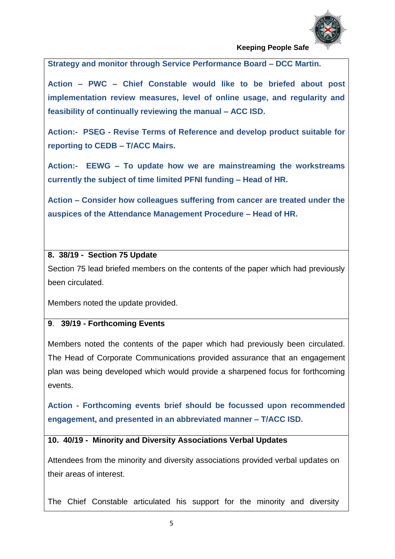

**Strategy and monitor through Service Performance Board – DCC Martin.**

**Action – PWC – Chief Constable would like to be briefed about post implementation review measures, level of online usage, and regularity and feasibility of continually reviewing the manual – ACC ISD.**

**Action:- PSEG - Revise Terms of Reference and develop product suitable for reporting to CEDB – T/ACC Mairs.**

**Action:- EEWG – To update how we are mainstreaming the workstreams currently the subject of time limited PFNI funding – Head of HR.**

**Action – Consider how colleagues suffering from cancer are treated under the auspices of the Attendance Management Procedure – Head of HR.**

## **8. 38/19 - Section 75 Update**

Section 75 lead briefed members on the contents of the paper which had previously been circulated.

Members noted the update provided.

#### **9**. **39/19 - Forthcoming Events**

Members noted the contents of the paper which had previously been circulated. The Head of Corporate Communications provided assurance that an engagement plan was being developed which would provide a sharpened focus for forthcoming events.

**Action - Forthcoming events brief should be focussed upon recommended engagement, and presented in an abbreviated manner – T/ACC ISD.**

**10. 40/19 - Minority and Diversity Associations Verbal Updates**

Attendees from the minority and diversity associations provided verbal updates on their areas of interest.

The Chief Constable articulated his support for the minority and diversity